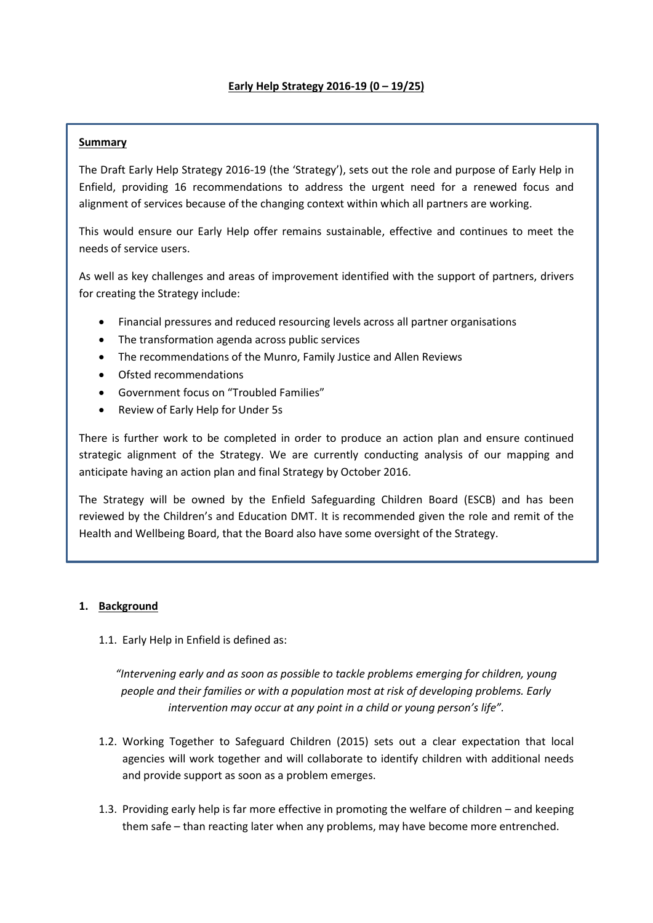# **Summary**

The Draft Early Help Strategy 2016-19 (the 'Strategy'), sets out the role and purpose of Early Help in Enfield, providing 16 recommendations to address the urgent need for a renewed focus and alignment of services because of the changing context within which all partners are working.

This would ensure our Early Help offer remains sustainable, effective and continues to meet the needs of service users.

As well as key challenges and areas of improvement identified with the support of partners, drivers for creating the Strategy include:

- Financial pressures and reduced resourcing levels across all partner organisations
- The transformation agenda across public services
- The recommendations of the Munro, Family Justice and Allen Reviews
- Ofsted recommendations
- Government focus on "Troubled Families"
- Review of Early Help for Under 5s

There is further work to be completed in order to produce an action plan and ensure continued strategic alignment of the Strategy. We are currently conducting analysis of our mapping and anticipate having an action plan and final Strategy by October 2016.

The Strategy will be owned by the Enfield Safeguarding Children Board (ESCB) and has been reviewed by the Children's and Education DMT. It is recommended given the role and remit of the Health and Wellbeing Board, that the Board also have some oversight of the Strategy.

### **1. Background**

1.1. Early Help in Enfield is defined as:

*"Intervening early and as soon as possible to tackle problems emerging for children, young people and their families or with a population most at risk of developing problems. Early intervention may occur at any point in a child or young person's life".*

- 1.2. Working Together to Safeguard Children (2015) sets out a clear expectation that local agencies will work together and will collaborate to identify children with additional needs and provide support as soon as a problem emerges.
- 1.3. Providing early help is far more effective in promoting the welfare of children and keeping them safe – than reacting later when any problems, may have become more entrenched.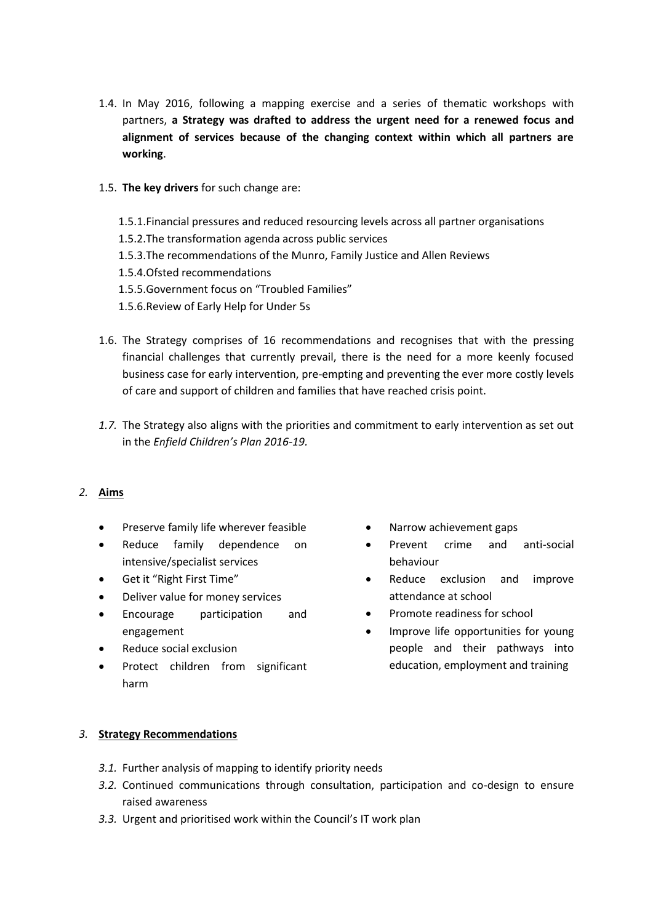- 1.4. In May 2016, following a mapping exercise and a series of thematic workshops with partners, **a Strategy was drafted to address the urgent need for a renewed focus and alignment of services because of the changing context within which all partners are working**.
- 1.5. **The key drivers** for such change are:
	- 1.5.1.Financial pressures and reduced resourcing levels across all partner organisations
	- 1.5.2.The transformation agenda across public services
	- 1.5.3.The recommendations of the Munro, Family Justice and Allen Reviews
	- 1.5.4.Ofsted recommendations
	- 1.5.5.Government focus on "Troubled Families"
	- 1.5.6.Review of Early Help for Under 5s
- 1.6. The Strategy comprises of 16 recommendations and recognises that with the pressing financial challenges that currently prevail, there is the need for a more keenly focused business case for early intervention, pre-empting and preventing the ever more costly levels of care and support of children and families that have reached crisis point.
- *1.7.* The Strategy also aligns with the priorities and commitment to early intervention as set out in the *Enfield Children's Plan 2016-19.*

### *2.* **Aims**

- Preserve family life wherever feasible
- Reduce family dependence on intensive/specialist services
- Get it "Right First Time"
- Deliver value for money services
- Encourage participation and engagement
- Reduce social exclusion
- Protect children from significant harm
- Narrow achievement gaps
- Prevent crime and anti-social behaviour
- Reduce exclusion and improve attendance at school
- Promote readiness for school
- Improve life opportunities for young people and their pathways into education, employment and training

### *3.* **Strategy Recommendations**

- *3.1.* Further analysis of mapping to identify priority needs
- *3.2.* Continued communications through consultation, participation and co-design to ensure raised awareness
- *3.3.* Urgent and prioritised work within the Council's IT work plan